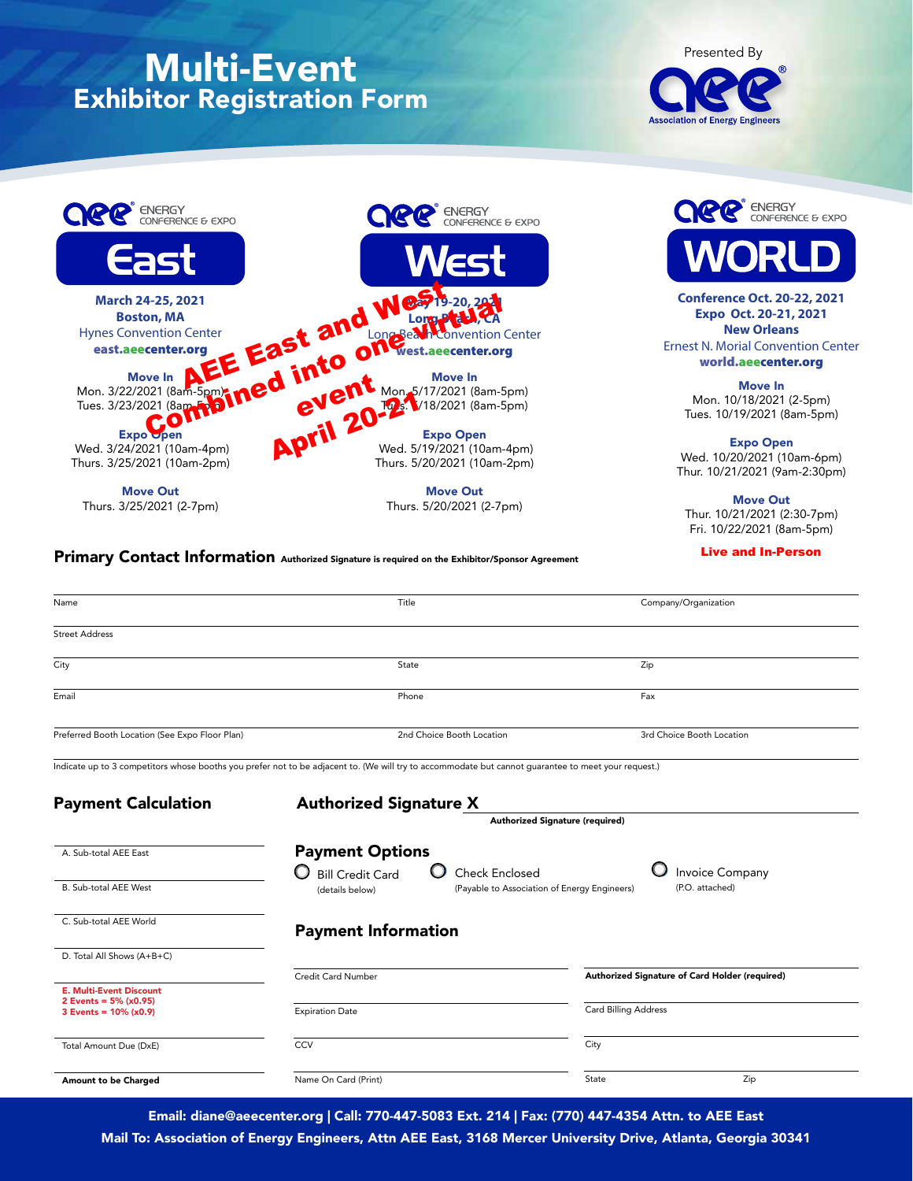# Multi-Event Exhibitor Registration Form





Move Out Thurs. 5/20/2021 (2-7pm) ENERGY<br>CONFERENCE & EXPO

**Conference Oct. 20-22, 2021 Expo Oct. 20-21, 2021 New Orleans** Ernest N. Morial Convention Center world.aeecenter.org

> Move In Mon. 10/18/2021 (2-5pm) Tues. 10/19/2021 (8am-5pm)

Expo Open Wed. 10/20/2021 (10am-6pm) Thur. 10/21/2021 (9am-2:30pm)

Move Out Thur. 10/21/2021 (2:30-7pm) Fri. 10/22/2021 (8am-5pm)

Live and In-Person

#### Primary Contact Information Authorized Signature is required on the Exhibitor/Sponsor Agreement

Thurs. 3/25/2021 (2-7pm)

| Name                                                        | Title                                                                                                                                               | Company/Organization                           |  |
|-------------------------------------------------------------|-----------------------------------------------------------------------------------------------------------------------------------------------------|------------------------------------------------|--|
| <b>Street Address</b>                                       |                                                                                                                                                     |                                                |  |
| City                                                        | State                                                                                                                                               | Zip                                            |  |
| Email                                                       | Phone                                                                                                                                               | Fax                                            |  |
| Preferred Booth Location (See Expo Floor Plan)              | 2nd Choice Booth Location                                                                                                                           | 3rd Choice Booth Location                      |  |
|                                                             | Indicate up to 3 competitors whose booths you prefer not to be adjacent to. (We will try to accommodate but cannot guarantee to meet your request.) |                                                |  |
| <b>Authorized Signature X</b><br><b>Payment Calculation</b> |                                                                                                                                                     |                                                |  |
|                                                             | Authorized Signature (required)                                                                                                                     |                                                |  |
| A. Sub-total AEE East                                       | <b>Payment Options</b><br>O<br><b>Bill Credit Card</b><br>Check Enclosed                                                                            | <b>Invoice Company</b>                         |  |
| <b>B.</b> Sub-total AEE West                                | (Payable to Association of Energy Engineers)<br>(details below)                                                                                     | (P.O. attached)                                |  |
| C. Sub-total AEE World                                      | <b>Payment Information</b>                                                                                                                          |                                                |  |
| D. Total All Shows (A+B+C)                                  |                                                                                                                                                     |                                                |  |
| <b>E. Multi-Event Discount</b><br>2 Events = $5\%$ (x0.95)  | Credit Card Number                                                                                                                                  | Authorized Signature of Card Holder (required) |  |
| 3 Events = $10\%$ (x0.9)                                    | <b>Expiration Date</b>                                                                                                                              | Card Billing Address                           |  |
| Total Amount Due (DxE)                                      | CCV                                                                                                                                                 | City                                           |  |
| Amount to be Charged                                        | Name On Card (Print)                                                                                                                                | State<br>Zip                                   |  |

Email: diane@aeecenter.org | Call: 770-447-5083 Ext. 214 | Fax: (770) 447-4354 Attn. to AEE East

Mail To: Association of Energy Engineers, Attn AEE East, 3168 Mercer University Drive, Atlanta, Georgia 30341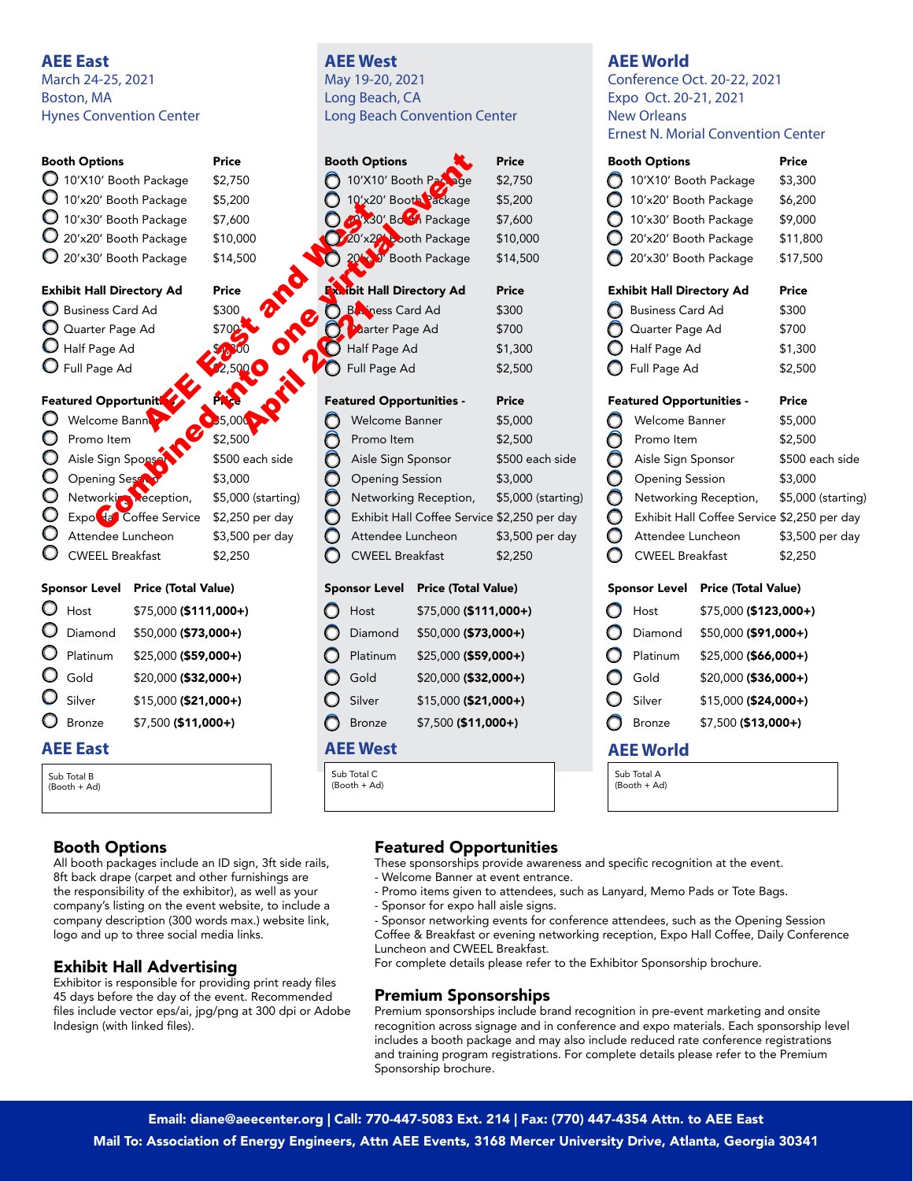# **AEE East**

March 24-25, 2021 Boston, MA Hynes Convention Center

| <b>Booth Options</b>             | <b>Price</b>                  | <b>Booth Options</b>            |
|----------------------------------|-------------------------------|---------------------------------|
| 10'X10' Booth Package            | \$2,750                       | 10'X10' Booth Pa                |
| 10'x20' Booth Package            | \$5,200                       | 10'x20' Booth Package           |
| 10'x30' Booth Package            | \$7,600                       | 230' Bo Package                 |
| 20'x20' Booth Package            | \$10,000                      | 20'x20' booth Package           |
| 20'x30' Booth Package            | \$14,500                      | <b>J</b> Booth Package          |
| <b>Exhibit Hall Directory Ad</b> | Price                         | ibit Hall Directory Ad          |
| <b>Business Card Ad</b>          | \$300                         | <b>BANDRESS</b> Card Ad         |
| Quarter Page Ad                  | \$700                         | <b>Marter Page Ad</b>           |
| Half Page Ad                     |                               | Half Page Ad                    |
| $\bigcup$ Full Page Ad           | 2,500                         | Full Page Ad                    |
| <b>Featured Opportuniti</b>      |                               | <b>Featured Opportunities -</b> |
| Welcome Bann                     | $\bigcirc$ <sub>2</sub> 5,000 | Welcome Banner                  |
| Promo Item                       | \$2,500                       | Promo Item                      |
| Aisle Sign Spons                 | \$500 each side               | Aisle Sign Sponsor              |
| <b>Opening Sesset</b>            | \$3,000                       | <b>Opening Session</b>          |
| Networking Reception,            | \$5,000 (starting)            | Networking Reception,           |
| Expo da Coffee Service           | \$2,250 per day               | <b>Exhibit Hall Coffee Serv</b> |
| Attendee Luncheon                | \$3,500 per day               | Attendee Luncheon               |

Sponsor Level Price (Total Value)

 $\bigcirc$  CWEEL Breakfast \$2,250

| O | Host                | \$75,000 (\$111,000+) |
|---|---------------------|-----------------------|
|   | O Diamond           | \$50,000 (\$73,000+)  |
|   | O Platinum          | \$25,000 (\$59,000+)  |
|   | $\mathbf{O}$ Gold   | \$20,000 (\$32,000+)  |
|   | $\mathbf{O}$ Silver | \$15,000 (\$21,000+)  |
|   | O Bronze            | \$7,500 (\$11,000+)   |
|   |                     |                       |

### **AEE East**

Sub Total B (Booth + Ad)

# Booth Options

All booth packages include an ID sign, 3ft side rails, 8ft back drape (carpet and other furnishings are the responsibility of the exhibitor), as well as your company's listing on the event website, to include a company description (300 words max.) website link, logo and up to three social media links.

# Exhibit Hall Advertising

Exhibitor is responsible for providing print ready files 45 days before the day of the event. Recommended files include vector eps/ai, jpg/png at 300 dpi or Adobe Indesign (with linked files).

### **AEE West** May 19-20, 2021

Long Beach, CA Long Beach Convention Center

|  | <b>Booth Options</b>                        | Price              |
|--|---------------------------------------------|--------------------|
|  | 10'X10' Booth Passage                       | \$2,750            |
|  | 10'x20' Booth Package                       | \$5,200            |
|  | <b>AX30' Bo</b> H Package                   | \$7,600            |
|  | 20'x29 both Package                         | \$10,000           |
|  | 20 <sup>1</sup> D' Booth Package            | \$14,500           |
|  |                                             |                    |
|  | <b>Fx.ibit Hall Directory Ad</b>            | <b>Price</b>       |
|  | <b>B</b> iness Card Ad                      | \$300              |
|  | <b>Marter Page Ad</b>                       | \$700              |
|  | Half Page Ad                                | \$1,300            |
|  | Full Page Ad                                | \$2,500            |
|  |                                             |                    |
|  | <b>Featured Opportunities -</b>             | <b>Price</b>       |
|  | <b>Welcome Banner</b>                       | \$5,000            |
|  | Promo Item                                  | \$2,500            |
|  | Aisle Sign Sponsor                          | \$500 each side    |
|  | <b>Opening Session</b>                      | \$3,000            |
|  | Networking Reception,                       | \$5,000 (starting) |
|  | Exhibit Hall Coffee Service \$2,250 per day |                    |

# Sponsor Level Price (Total Value)

Attendee Luncheon \$3,500 per day CWEEL Breakfast \$2,250

|   |                     | SPONSOF LEVER FIRE (TOLGI VAIUE) |
|---|---------------------|----------------------------------|
| O | Host                | \$75,000 (\$111,000+)            |
| O | Diamond             | \$50,000 (\$73,000+)             |
|   | $\bigcirc$ Platinum | \$25,000 (\$59,000+)             |
|   | $\bigcirc$ Gold     | \$20,000 (\$32,000+)             |
|   | $\bigcirc$ Silver   | \$15,000 (\$21,000+)             |
|   | <b>D</b> Bronze     | \$7,500 (\$11,000+)              |

# **AEE West**

Sub Total C (Booth + Ad)

# **AEE World**

Conference Oct. 20-22, 2021 Expo Oct. 20-21, 2021 New Orleans Ernest N. Morial Convention Center

| LIIICOL IN. IVIUIIAI '<br>טוועכוונוטוו כ |                                  |                        |                                             |  |
|------------------------------------------|----------------------------------|------------------------|---------------------------------------------|--|
| <b>Booth Options</b>                     |                                  |                        | Price                                       |  |
|                                          | 10'X10' Booth Package            |                        | \$3,300                                     |  |
|                                          | 10'x20' Booth Package            |                        | \$6,200                                     |  |
|                                          | 10'x30' Booth Package            |                        | \$9,000                                     |  |
|                                          | 20'x20' Booth Package            |                        | \$11,800                                    |  |
|                                          | 20'x30' Booth Package            |                        | \$17,500                                    |  |
|                                          | <b>Exhibit Hall Directory Ad</b> |                        | Price                                       |  |
|                                          | Business Card Ad                 |                        | \$300                                       |  |
|                                          |                                  | Cuarter Page Ad        |                                             |  |
|                                          | $\bigcup$ Half Page Ad           |                        | \$1,300                                     |  |
|                                          | Full Page Ad                     |                        | \$2,500                                     |  |
|                                          | <b>Featured Opportunities -</b>  |                        | Price                                       |  |
|                                          |                                  | Welcome Banner         |                                             |  |
| 000000                                   | Promo Item                       |                        | \$2,500                                     |  |
|                                          | Aisle Sign Sponsor               |                        | \$500 each side                             |  |
|                                          | <b>Opening Session</b>           |                        | \$3,000                                     |  |
|                                          |                                  | Networking Reception,  | \$5,000 (starting)                          |  |
|                                          |                                  |                        | Exhibit Hall Coffee Service \$2,250 per day |  |
|                                          | Attendee Luncheon                |                        | \$3,500 per day                             |  |
|                                          | <b>CWEEL Breakfast</b>           |                        | \$2,250                                     |  |
|                                          | <b>Sponsor Level</b>             | Price (Total Value)    |                                             |  |
| O                                        | Host                             | $$75,000$ (\$123,000+) |                                             |  |
| O                                        | Diamond                          | \$50,000 (\$91,000+)   |                                             |  |
| $\bullet$                                | Platinum                         | $$25,000$ (\$66,000+)  |                                             |  |
|                                          | $\bigcirc$ Gold                  | \$20,000 (\$36,000+)   |                                             |  |
| $\circ$                                  | Silver                           | $$15,000$ (\$24,000+)  |                                             |  |
|                                          | Bronze                           | \$7,500 (\$13,000+)    |                                             |  |
|                                          | AEE World                        |                        |                                             |  |
|                                          | Sub Total A<br>(Booth + Ad)      |                        |                                             |  |
|                                          |                                  |                        |                                             |  |

# Featured Opportunities

These sponsorships provide awareness and specific recognition at the event.

- Welcome Banner at event entrance.
- Promo items given to attendees, such as Lanyard, Memo Pads or Tote Bags.
- Sponsor for expo hall aisle signs.
- Sponsor networking events for conference attendees, such as the Opening Session Coffee & Breakfast or evening networking reception, Expo Hall Coffee, Daily Conference Luncheon and CWEEL Breakfast.

For complete details please refer to the Exhibitor Sponsorship brochure.

# Premium Sponsorships

Premium sponsorships include brand recognition in pre-event marketing and onsite recognition across signage and in conference and expo materials. Each sponsorship level includes a booth package and may also include reduced rate conference registrations and training program registrations. For complete details please refer to the Premium Sponsorship brochure.